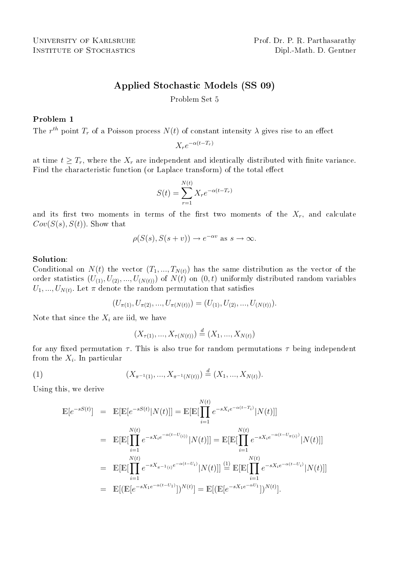# Applied Stochastic Models (SS 09)

Problem Set 5

Problem 1

The  $r^{th}$  point  $T_r$  of a Poisson process  $N(t)$  of constant intensity  $\lambda$  gives rise to an effect

$$
X_r e^{-\alpha(t - T_r)}
$$

at time  $t \geq T_r$ , where the  $X_r$  are independent and identically distributed with finite variance. Find the characteristic function (or Laplace transform) of the total effect

$$
S(t) = \sum_{r=1}^{N(t)} X_r e^{-\alpha(t - T_r)}
$$

and its first two moments in terms of the first two moments of the  $X_r$ , and calculate  $Cov(S(s), S(t))$ . Show that

$$
\rho(S(s), S(s + v)) \to e^{-\alpha v} \text{ as } s \to \infty.
$$

#### Solution:

Conditional on  $N(t)$  the vector  $(T_1, ..., T_{N(t)})$  has the same distribution as the vector of the order statistics  $(U_{(1)}, U_{(2)}, ..., U_{(N(t))})$  of  $N(t)$  on  $(0, t)$  uniformly distributed random variables  $U_1, ..., U_{N(t)}$ . Let  $\pi$  denote the random permutation that satisfies

$$
(U_{\pi(1)}, U_{\pi(2)}, ..., U_{\pi(N(t))}) = (U_{(1)}, U_{(2)}, ..., U_{(N(t))}).
$$

Note that since the  $X_i$  are iid, we have

$$
(X_{\tau(1)},...,X_{\tau(N(t))}) \stackrel{d}{=} (X_1,...,X_{N(t)})
$$

for any fixed permutation  $\tau$ . This is also true for random permutations  $\tau$  being independent from the  $X_i$ . In particular

(1) 
$$
(X_{\pi^{-1}(1)},...,X_{\pi^{-1}(N(t))}) \stackrel{d}{=} (X_1,...,X_{N(t)}).
$$

Using this, we derive

$$
\mathbb{E}[e^{-sS(t)}] = \mathbb{E}[\mathbb{E}[e^{-sS(t)}|N(t)]] = \mathbb{E}[\mathbb{E}[\prod_{i=1}^{N(t)} e^{-sX_i e^{-\alpha(t-T_i)}}|N(t)]]
$$
\n
$$
= \mathbb{E}[\mathbb{E}[\prod_{i=1}^{N(t)} e^{-sX_i e^{-\alpha(t-U_{(i)})}}|N(t)]] = \mathbb{E}[\mathbb{E}[\prod_{i=1}^{N(t)} e^{-sX_i e^{-\alpha(t-U_{\pi(i)})}}|N(t)]]
$$
\n
$$
= \mathbb{E}[\mathbb{E}[\prod_{i=1}^{N(t)} e^{-sX_{\pi^{-1}(i)}e^{-\alpha(t-U_i)}}|N(t)]] \stackrel{(1)}{=} \mathbb{E}[\mathbb{E}[\prod_{i=1}^{N(t)} e^{-sX_i e^{-\alpha(t-U_i)}}|N(t)]]
$$
\n
$$
= \mathbb{E}[(\mathbb{E}[e^{-sX_1 e^{-\alpha(t-U_1)}}])^{N(t)}] = \mathbb{E}[(\mathbb{E}[e^{-sX_1 e^{-\alpha U_1}}])^{N(t)}].
$$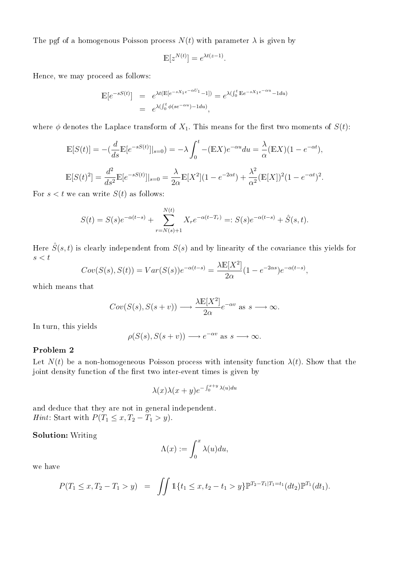The pgf of a homogenous Poisson process  $N(t)$  with parameter  $\lambda$  is given by

$$
\mathbb{E}[z^{N(t)}] = e^{\lambda t(z-1)}.
$$

Hence, we may proceed as follows:

$$
\mathbb{E}[e^{-sS(t)}] = e^{\lambda t(\mathbb{E}[e^{-sX_1e^{-\alpha U_1}-1}]} = e^{\lambda(\int_0^t \mathbb{E}e^{-sX_1e^{-\alpha u}}-1 du)}
$$
  
=  $e^{\lambda(\int_0^t \phi(se^{-\alpha u})-1 du)},$ 

where  $\phi$  denotes the Laplace transform of  $X_1$ . This means for the first two moments of  $S(t)$ :

$$
\mathbb{E}[S(t)] = -(\frac{d}{ds}\mathbb{E}[e^{-sS(t)}]|_{s=0}) = -\lambda \int_0^t -(\mathbb{E}X)e^{-\alpha u} du = \frac{\lambda}{\alpha}(\mathbb{E}X)(1 - e^{-\alpha t}),
$$
  

$$
\mathbb{E}[S(t)^2] = \frac{d^2}{ds^2}\mathbb{E}[e^{-sS(t)}]|_{s=0} = \frac{\lambda}{2\alpha}\mathbb{E}[X^2](1 - e^{-2\alpha t}) + \frac{\lambda^2}{\alpha^2}(\mathbb{E}[X])^2(1 - e^{-\alpha t})^2.
$$

For  $s < t$  we can write  $S(t)$  as follows:

$$
S(t) = S(s)e^{-\alpha(t-s)} + \sum_{r=N(s)+1}^{N(t)} X_r e^{-\alpha(t-T_r)} =: S(s)e^{-\alpha(t-s)} + \hat{S}(s,t).
$$

Here  $\hat{S}(s,t)$  is clearly independent from  $S(s)$  and by linearity of the covariance this yields for  $s < t$ 

$$
Cov(S(s), S(t)) = Var(S(s))e^{-\alpha(t-s)} = \frac{\lambda \mathbb{E}[X^2]}{2\alpha} (1 - e^{-2\alpha s})e^{-\alpha(t-s)},
$$

which means that

$$
Cov(S(s), S(s + v)) \longrightarrow \frac{\lambda \mathbb{E}[X^2]}{2\alpha} e^{-\alpha v} \text{ as } s \longrightarrow \infty.
$$

In turn, this yields

$$
\rho(S(s), S(s + v)) \longrightarrow e^{-\alpha v} \text{ as } s \longrightarrow \infty.
$$

## Problem 2

Let  $N(t)$  be a non-homogeneous Poisson process with intensity function  $\lambda(t)$ . Show that the joint density function of the first two inter-event times is given by

$$
\lambda(x)\lambda(x+y)e^{-\int_0^{x+y}\lambda(u)du}
$$

and deduce that they are not in general independent. *Hint*: Start with  $P(T_1 \le x, T_2 - T_1 > y)$ .

Solution: Writing

$$
\Lambda(x) := \int_0^x \lambda(u) du,
$$

we have

$$
P(T_1 \le x, T_2 - T_1 > y) = \iint \mathbb{1}\{t_1 \le x, t_2 - t_1 > y\} \mathbb{P}^{T_2 - T_1 | T_1 = t_1} (dt_2) \mathbb{P}^{T_1} (dt_1).
$$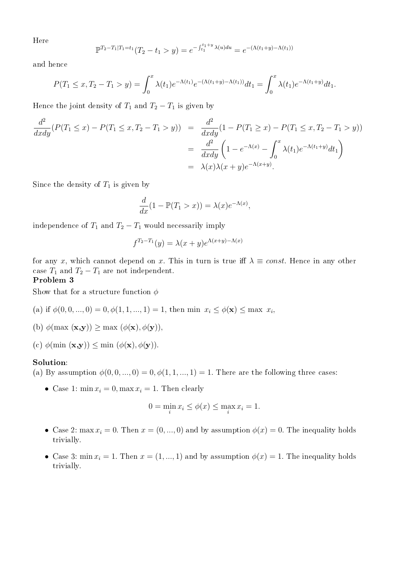Here

$$
\mathbb{P}^{T_2 - T_1|T_1 = t_1}(T_2 - t_1 > y) = e^{-\int_{t_1}^{t_1 + y} \lambda(u) du} = e^{-(\Lambda(t_1 + y) - \Lambda(t_1))}
$$

and hence

$$
P(T_1 \le x, T_2 - T_1 > y) = \int_0^x \lambda(t_1) e^{-\Lambda(t_1)} e^{-(\Lambda(t_1 + y) - \Lambda(t_1))} dt_1 = \int_0^x \lambda(t_1) e^{-\Lambda(t_1 + y)} dt_1.
$$

Hence the joint density of  $T_1$  and  $T_2 - T_1$  is given by

$$
\frac{d^2}{dxdy}(P(T_1 \le x) - P(T_1 \le x, T_2 - T_1 > y)) = \frac{d^2}{dxdy}(1 - P(T_1 \ge x) - P(T_1 \le x, T_2 - T_1 > y))
$$

$$
= \frac{d^2}{dxdy}\left(1 - e^{-\Lambda(x)} - \int_0^x \lambda(t_1)e^{-\Lambda(t_1+y)}dt_1\right)
$$

$$
= \lambda(x)\lambda(x+y)e^{-\Lambda(x+y)}.
$$

Since the density of  $T_1$  is given by

$$
\frac{d}{dx}(1 - \mathbb{P}(T_1 > x)) = \lambda(x)e^{-\Lambda(x)},
$$

independence of  $T_1$  and  $T_2 - T_1$  would necessarily imply

$$
f^{T_2 - T_1}(y) = \lambda(x + y)e^{\Lambda(x + y) - \Lambda(x)}
$$

for any x, which cannot depend on x. This in turn is true iff  $\lambda \equiv const.$  Hence in any other case  $T_1$  and  $T_2 - T_1$  are not independent.

## Problem 3

Show that for a structure function  $\phi$ 

- (a) if  $\phi(0,0,...,0) = 0, \phi(1,1,...,1) = 1$ , then min  $x_i \leq \phi(\mathbf{x}) \leq \max x_i$ ,
- (b)  $\phi(\max(\mathbf{x}, \mathbf{y})) \geq \max(\phi(\mathbf{x}), \phi(\mathbf{y})),$
- (c)  $\phi(\min(\mathbf{x}, \mathbf{y})) \leq \min(\phi(\mathbf{x}), \phi(\mathbf{y})).$

#### Solution:

- (a) By assumption  $\phi(0,0,...,0) = 0, \phi(1,1,...,1) = 1$ . There are the following three cases:
	- Case 1:  $\min x_i = 0$ ,  $\max x_i = 1$ . Then clearly

$$
0 = \min_{i} x_i \le \phi(x) \le \max_{i} x_i = 1.
$$

- Case 2: max  $x_i = 0$ . Then  $x = (0, ..., 0)$  and by assumption  $\phi(x) = 0$ . The inequality holds trivially.
- Case 3: min  $x_i = 1$ . Then  $x = (1, ..., 1)$  and by assumption  $\phi(x) = 1$ . The inequality holds trivially.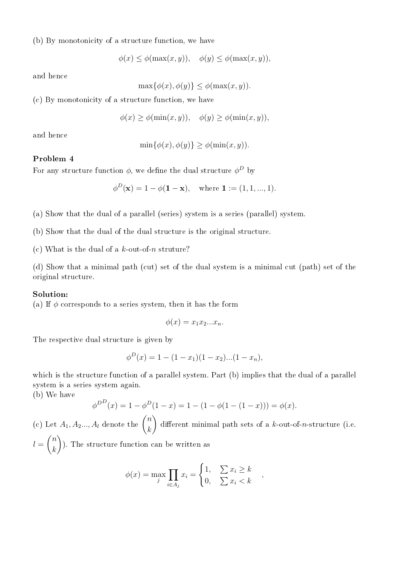(b) By monotonicity of a structure function, we have

$$
\phi(x) \le \phi(\max(x, y)), \quad \phi(y) \le \phi(\max(x, y)),
$$

and hence

$$
\max\{\phi(x), \phi(y)\} \le \phi(\max(x, y)).
$$

(c) By monotonicity of a structure function, we have

 $\phi(x) \geq \phi(\min(x, y)), \quad \phi(y) \geq \phi(\min(x, y)),$ 

and hence

$$
\min\{\phi(x), \phi(y)\} \ge \phi(\min(x, y)).
$$

# Problem 4

For any structure function  $\phi$ , we define the dual structure  $\phi^D$  by

$$
\phi^D(\mathbf{x}) = 1 - \phi(\mathbf{1} - \mathbf{x}), \text{ where } \mathbf{1} := (1, 1, ..., 1).
$$

(a) Show that the dual of a parallel (series) system is a series (parallel) system.

(b) Show that the dual of the dual structure is the original structure.

(c) What is the dual of a  $k$ -out-of-n struture?

(d) Show that a minimal path (cut) set of the dual system is a minimal cut (path) set of the original structure.

## Solution:

(a) If  $\phi$  corresponds to a series system, then it has the form

$$
\phi(x) = x_1 x_2 \dots x_n.
$$

The respective dual structure is given by

$$
\phi^{D}(x) = 1 - (1 - x_{1})(1 - x_{2})...(1 - x_{n}),
$$

which is the structure function of a parallel system. Part (b) implies that the dual of a parallel system is a series system again.

(b) We have

$$
\phi^{D}(\mathbf{x}) = 1 - \phi^{D}(1 - \mathbf{x}) = 1 - (1 - \phi(1 - (1 - \mathbf{x}))) = \phi(\mathbf{x}).
$$

(c) Let  $A_1, A_2, \ldots, A_l$  denote the  $\left($ n k different minimal path sets of a  $k$ -out-of-n-structure (i.e.  $l =$  $\sqrt{2}$ n  $\binom{n}{k}$ ). The structure function can be written as

$$
\phi(x) = \max_{j} \prod_{i \in A_j} x_i = \begin{cases} 1, & \sum x_i \ge k \\ 0, & \sum x_i < k \end{cases},
$$